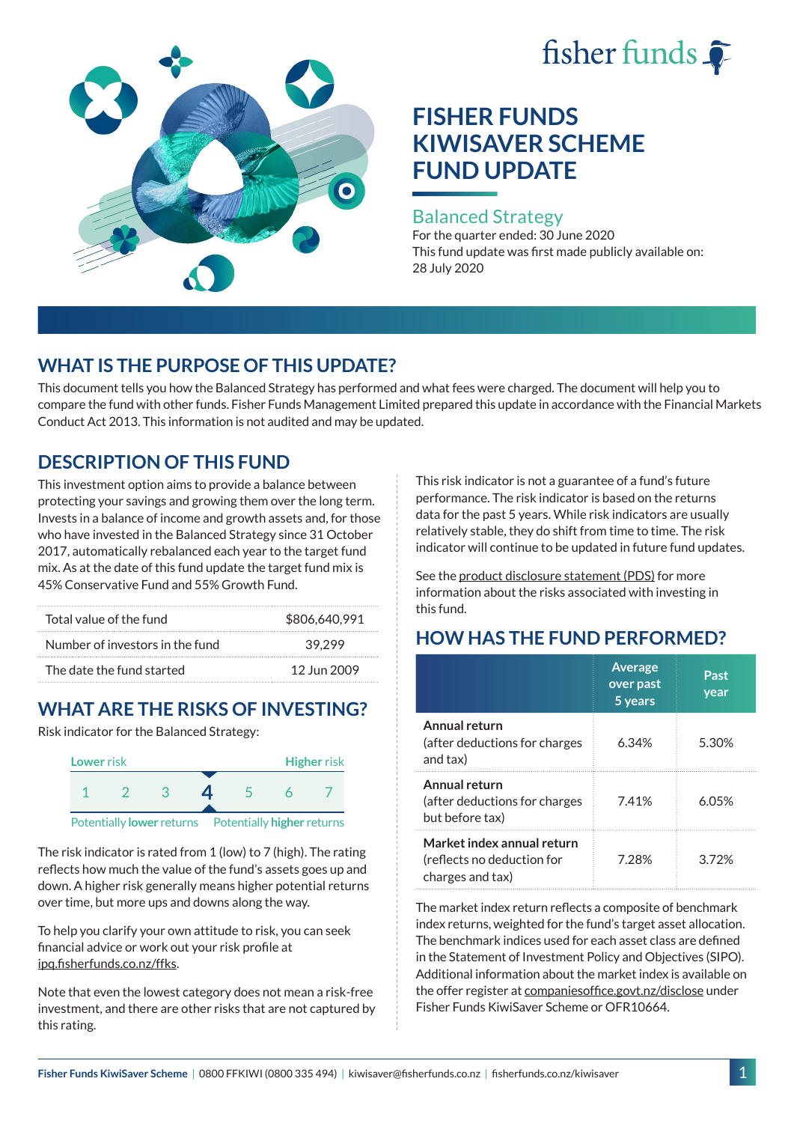# fisher funds



# **FISHER FUNDS KIWISAVER SCHEME FUND UPDATE**

#### Balanced Strategy

For the quarter ended: 30 June 2020 This fund update was first made publicly available on: 28 July 2020

## **WHAT IS THE PURPOSE OF THIS UPDATE?**

This document tells you how the Balanced Strategy has performed and what fees were charged. The document will help you to compare the fund with other funds. Fisher Funds Management Limited prepared this update in accordance with the Financial Markets Conduct Act 2013. This information is not audited and may be updated.

# **DESCRIPTION OF THIS FUND**

This investment option aims to provide a balance between protecting your savings and growing them over the long term. Invests in a balance of income and growth assets and, for those who have invested in the Balanced Strategy since 31 October 2017, automatically rebalanced each year to the target fund mix. As at the date of this fund update the target fund mix is 45% Conservative Fund and 55% Growth Fund.

| Total value of the fund         | \$806,640,991 |  |
|---------------------------------|---------------|--|
| Number of investors in the fund | 39.299        |  |
| The date the fund started       | 12 Jun 2009   |  |

# **WHAT ARE THE RISKS OF INVESTING?**

Risk indicator for the Balanced Strategy:



The risk indicator is rated from 1 (low) to 7 (high). The rating reflects how much the value of the fund's assets goes up and down. A higher risk generally means higher potential returns over time, but more ups and downs along the way.

To help you clarify your own attitude to risk, you can seek financial advice or work out your risk profile at [ipq.fisherfunds.co.nz/ffks](https://ipq.fisherfunds.co.nz/ffks).

Note that even the lowest category does not mean a risk-free investment, and there are other risks that are not captured by this rating.

This risk indicator is not a guarantee of a fund's future performance. The risk indicator is based on the returns data for the past 5 years. While risk indicators are usually relatively stable, they do shift from time to time. The risk indicator will continue to be updated in future fund updates.

See the [product disclosure statement \(PDS\)](https://fisherfunds.co.nz/assets/PDS/Fisher-Funds-KiwiSaver-Scheme-PDS.pdf) for more information about the risks associated with investing in this fund.

# **HOW HAS THE FUND PERFORMED?**

|                                                                              | <b>Average</b><br>over past<br>5 years | Past<br>year |
|------------------------------------------------------------------------------|----------------------------------------|--------------|
| Annual return<br>(after deductions for charges<br>and tax)                   | 6.34%                                  | 5.30%        |
| Annual return<br>(after deductions for charges<br>but before tax)            | 741%                                   | 6.05%        |
| Market index annual return<br>(reflects no deduction for<br>charges and tax) | 7.28%                                  | 3.72%        |

The market index return reflects a composite of benchmark index returns, weighted for the fund's target asset allocation. The benchmark indices used for each asset class are defined in the Statement of Investment Policy and Objectives (SIPO). Additional information about the market index is available on the offer register at [companiesoffice.govt.nz/disclose](http://companiesoffice.govt.nz/disclose) under Fisher Funds KiwiSaver Scheme or OFR10664.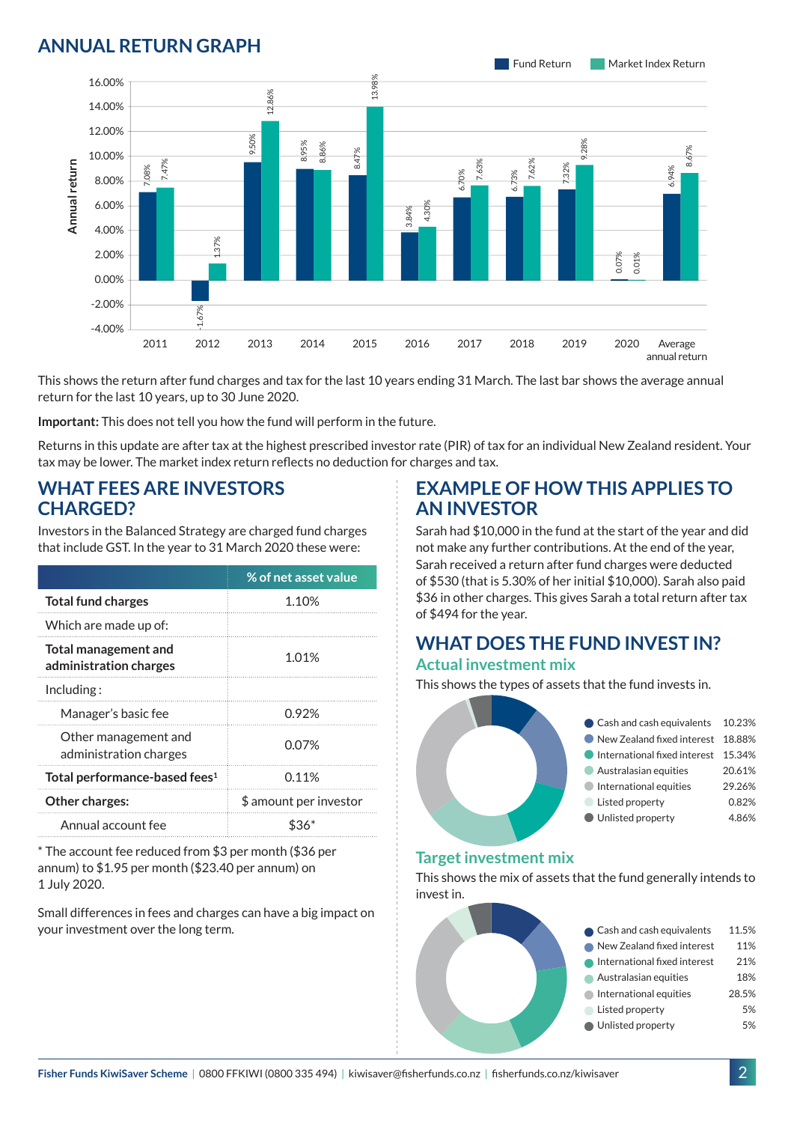### **ANNUAL RETURN GRAPH**



This shows the return after fund charges and tax for the last 10 years ending 31 March. The last bar shows the average annual return for the last 10 years, up to 30 June 2020.

**Important:** This does not tell you how the fund will perform in the future.

Returns in this update are after tax at the highest prescribed investor rate (PIR) of tax for an individual New Zealand resident. Your tax may be lower. The market index return reflects no deduction for charges and tax.

#### **WHAT FEES ARE INVESTORS CHARGED?**

Investors in the Balanced Strategy are charged fund charges that include GST. In the year to 31 March 2020 these were:

|                                                | % of net asset value   |  |
|------------------------------------------------|------------------------|--|
| <b>Total fund charges</b>                      | 1.10%                  |  |
| Which are made up of:                          |                        |  |
| Total management and<br>administration charges | 1.01%                  |  |
| Including:                                     |                        |  |
| Manager's basic fee                            | 0.92%                  |  |
| Other management and<br>administration charges | 0.07%                  |  |
| Total performance-based fees <sup>1</sup>      | 0.11%                  |  |
| <b>Other charges:</b>                          | \$ amount per investor |  |
| Annual account fee                             |                        |  |

\* The account fee reduced from \$3 per month (\$36 per annum) to \$1.95 per month (\$23.40 per annum) on 1 July 2020.

Small differences in fees and charges can have a big impact on your investment over the long term.

#### **EXAMPLE OF HOW THIS APPLIES TO AN INVESTOR**

Sarah had \$10,000 in the fund at the start of the year and did not make any further contributions. At the end of the year, Sarah received a return after fund charges were deducted of \$530 (that is 5.30% of her initial \$10,000). Sarah also paid \$36 in other charges. This gives Sarah a total return after tax of \$494 for the year.

# **WHAT DOES THE FUND INVEST IN?**

#### **Actual investment mix**

This shows the types of assets that the fund invests in.



#### **Target investment mix**

This shows the mix of assets that the fund generally intends to invest in.